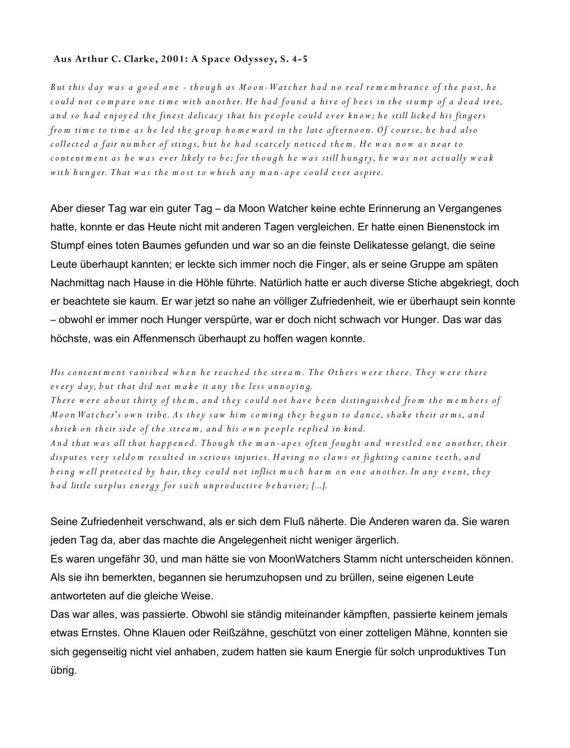## **Aus Arthur C. Clarke, 2 0 0 1: A Space Odyssey, S. 4-5**

*B ut this d ay w a s a g o o d o n e - th o u g h a s M o o n - W a t c h e r h a d n o r e al r e m e m b ra n c e of th e p a st, h e* could not compare one time with another. He had found a hive of bees in the stump of a dead tree, and so had enjoyed the finest delicacy that his people could ever know; he still licked his fingers *from time to time as he led the group homeward in the late afternoon. Of course, he had also* collected a fair number of stings, but he had scarcely noticed them. He was now as near to content ment as he was ever likely to be; for though he was still hungry, he was not actually weak with hunger. That was the most to which any man-ape could ever aspire.

Aber dieser Tag war ein guter Tag – da Moon Watcher keine echte Erinnerung an Vergangenes hatte, konnte er das Heute nicht mit anderen Tagen vergleichen. Er hatte einen Bienenstock im Stumpf eines toten Baumes gefunden und war so an die feinste Delikatesse gelangt, die seine Leute überhaupt kannten; er leckte sich immer noch die Finger, als er seine Gruppe am späten Nachmittag nach Hause in die Höhle führte. Natürlich hatte er auch diverse Stiche abgekriegt, doch er beachtete sie kaum. Er war jetzt so nahe an völliger Zufriedenheit, wie er überhaupt sein konnte – obwohl er immer noch Hunger verspürte, war er doch nicht schwach vor Hunger. Das war das höchste, was ein Affenmensch überhaupt zu hoffen wagen konnte.

## *His content ment vanished when he reached the stream. The Others were there. They were there every day, but that did not make it any the less annoying.*

*There were about thirty of the m, and they could not have been distinguished from the members of M* o on Wat cher's own tribe. As they saw him coming they begun to dance, shake their arms, and shriek on their side of the stream, and his own people replied in kind.

*And that was all that happened. Though the man-apes often fought and wrestled one another, their* disputes very seldom resulted in serious injuries. Having no claws or fighting canine teeth, and *being well protected by hair, they could not inflict much harm on one another. In any event, they had little surplus energy for such unproductive behavior; [...].* 

Seine Zufriedenheit verschwand, als er sich dem Fluß näherte. Die Anderen waren da. Sie waren jeden Tag da, aber das machte die Angelegenheit nicht weniger ärgerlich.

Es waren ungefähr 30, und man hätte sie von MoonWatchers Stamm nicht unterscheiden können. Als sie ihn bemerkten, begannen sie herumzuhopsen und zu brüllen, seine eigenen Leute antworteten auf die gleiche Weise.

Das war alles, was passierte. Obwohl sie ständig miteinander kämpften, passierte keinem jemals etwas Ernstes. Ohne Klauen oder Reißzähne, geschützt von einer zotteligen Mähne, konnten sie sich gegenseitig nicht viel anhaben, zudem hatten sie kaum Energie für solch unproduktives Tun übrig.